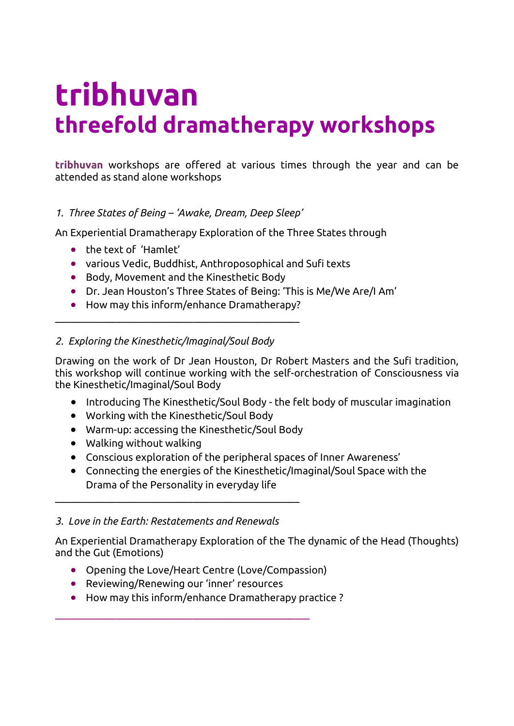# **tribhuvan threefold dramatherapy workshops**

**tribhuvan** workshops are offered at various times through the year and can be attended as stand alone workshops

## *1. Three States of Being – 'Awake, Dream, Deep Sleep'*

An Experiential Dramatherapy Exploration of the Three States through

- the text of 'Hamlet'
- various Vedic, Buddhist, Anthroposophical and Sufi texts
- Body, Movement and the Kinesthetic Body

\_\_\_\_\_\_\_\_\_\_\_\_\_\_\_\_\_\_\_\_\_\_\_\_\_\_\_\_\_\_\_\_\_\_\_\_\_\_\_\_\_\_\_\_\_\_\_\_

- Dr. Jean Houston's Three States of Being: 'This is Me/We Are/I Am'
- How may this inform/enhance Dramatherapy?

#### *2. Exploring the Kinesthetic/Imaginal/Soul Body*

Drawing on the work of Dr Jean Houston, Dr Robert Masters and the Sufi tradition, this workshop will continue working with the self-orchestration of Consciousness via the Kinesthetic/Imaginal/Soul Body

- Introducing The Kinesthetic/Soul Body the felt body of muscular imagination
- Working with the Kinesthetic/Soul Body
- Warm-up: accessing the Kinesthetic/Soul Body
- Walking without walking
- Conscious exploration of the peripheral spaces of Inner Awareness'
- Connecting the energies of the Kinesthetic/Imaginal/Soul Space with the Drama of the Personality in everyday life

#### *3. Love in the Earth: Restatements and Renewals*

\_\_\_\_\_\_\_\_\_\_\_\_\_\_\_\_\_\_\_\_\_\_\_\_\_\_\_\_\_\_\_\_\_\_\_\_\_\_\_\_\_\_\_\_\_\_\_\_

An Experiential Dramatherapy Exploration of the The dynamic of the Head (Thoughts) and the Gut (Emotions)

- Opening the Love/Heart Centre (Love/Compassion)
- Reviewing/Renewing our 'inner' resources

\_\_\_\_\_\_\_\_\_\_\_\_\_\_\_\_\_\_\_\_\_\_\_\_\_\_\_\_\_\_\_\_\_\_\_\_\_\_\_\_\_\_\_\_\_\_\_\_\_\_

How may this inform/enhance Dramatherapy practice ?